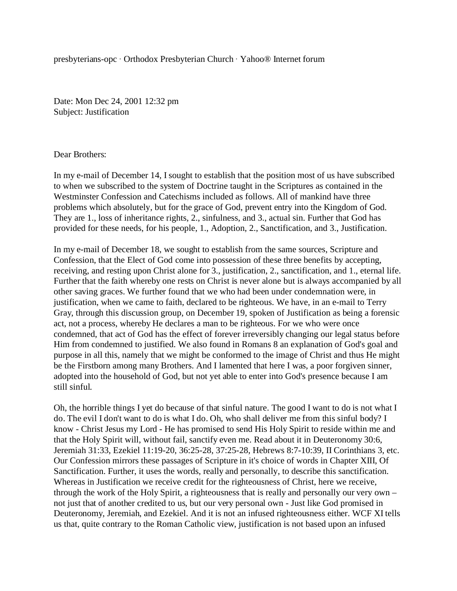presbyterians-opc · Orthodox Presbyterian Church · Yahoo® Internet forum

Date: Mon Dec 24, 2001 12:32 pm Subject: Justification

Dear Brothers:

In my e-mail of December 14, I sought to establish that the position most of us have subscribed to when we subscribed to the system of Doctrine taught in the Scriptures as contained in the Westminster Confession and Catechisms included as follows. All of mankind have three problems which absolutely, but for the grace of God, prevent entry into the Kingdom of God. They are 1., loss of inheritance rights, 2., sinfulness, and 3., actual sin. Further that God has provided for these needs, for his people, 1., Adoption, 2., Sanctification, and 3., Justification.

In my e-mail of December 18, we sought to establish from the same sources, Scripture and Confession, that the Elect of God come into possession of these three benefits by accepting, receiving, and resting upon Christ alone for 3., justification, 2., sanctification, and 1., eternal life. Further that the faith whereby one rests on Christ is never alone but is always accompanied by all other saving graces. We further found that we who had been under condemnation were, in justification, when we came to faith, declared to be righteous. We have, in an e-mail to Terry Gray, through this discussion group, on December 19, spoken of Justification as being a forensic act, not a process, whereby He declares a man to be righteous. For we who were once condemned, that act of God has the effect of forever irreversibly changing our legal status before Him from condemned to justified. We also found in Romans 8 an explanation of God's goal and purpose in all this, namely that we might be conformed to the image of Christ and thus He might be the Firstborn among many Brothers. And I lamented that here I was, a poor forgiven sinner, adopted into the household of God, but not yet able to enter into God's presence because I am still sinful.

Oh, the horrible things I yet do because of that sinful nature. The good I want to do is not what I do. The evil I don't want to do is what I do. Oh, who shall deliver me from this sinful body? I know - Christ Jesus my Lord - He has promised to send His Holy Spirit to reside within me and that the Holy Spirit will, without fail, sanctify even me. Read about it in Deuteronomy 30:6, Jeremiah 31:33, Ezekiel 11:19-20, 36:25-28, 37:25-28, Hebrews 8:7-10:39, II Corinthians 3, etc. Our Confession mirrors these passages of Scripture in it's choice of words in Chapter XIII, Of Sanctification. Further, it uses the words, really and personally, to describe this sanctification. Whereas in Justification we receive credit for the righteousness of Christ, here we receive, through the work of the Holy Spirit, a righteousness that is really and personally our very own – not just that of another credited to us, but our very personal own - Just like God promised in Deuteronomy, Jeremiah, and Ezekiel. And it is not an infused righteousness either. WCF XI tells us that, quite contrary to the Roman Catholic view, justification is not based upon an infused